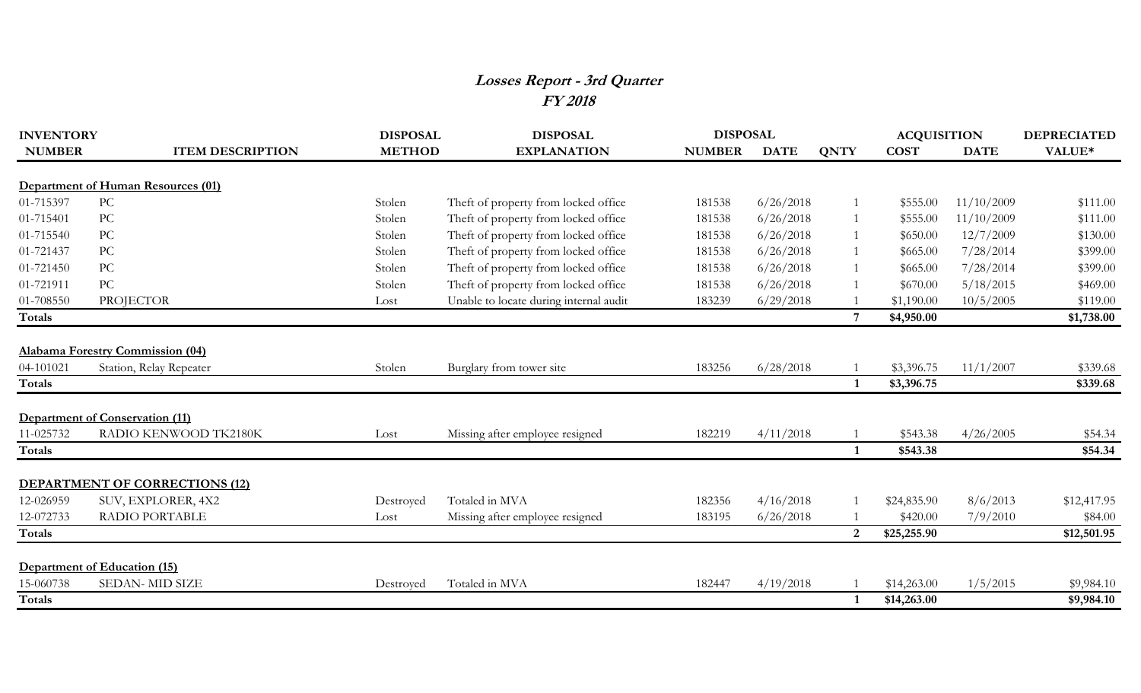## **Losses Report - 3rd Quarter FY 2018**

| <b>INVENTORY</b> |                                         | <b>DISPOSAL</b> | <b>DISPOSAL</b>                        | <b>DISPOSAL</b> |             |              | <b>ACQUISITION</b> |             | <b>DEPRECIATED</b> |
|------------------|-----------------------------------------|-----------------|----------------------------------------|-----------------|-------------|--------------|--------------------|-------------|--------------------|
| <b>NUMBER</b>    | <b>ITEM DESCRIPTION</b>                 | <b>METHOD</b>   | <b>EXPLANATION</b>                     | <b>NUMBER</b>   | <b>DATE</b> | <b>QNTY</b>  | <b>COST</b>        | <b>DATE</b> | VALUE*             |
|                  | Department of Human Resources (01)      |                 |                                        |                 |             |              |                    |             |                    |
| 01-715397        | PC                                      | Stolen          | Theft of property from locked office   | 181538          | 6/26/2018   |              | \$555.00           | 11/10/2009  | \$111.00           |
| 01-715401        | PC                                      | Stolen          | Theft of property from locked office   | 181538          | 6/26/2018   |              | \$555.00           | 11/10/2009  | \$111.00           |
| 01-715540        | $\rm{PC}$                               | Stolen          | Theft of property from locked office   | 181538          | 6/26/2018   |              | \$650.00           | 12/7/2009   | \$130.00           |
| 01-721437        | PC                                      | Stolen          | Theft of property from locked office   | 181538          | 6/26/2018   |              | \$665.00           | 7/28/2014   | \$399.00           |
| 01-721450        | PC                                      | Stolen          | Theft of property from locked office   | 181538          | 6/26/2018   |              | \$665.00           | 7/28/2014   | \$399.00           |
| 01-721911        | PC                                      | Stolen          | Theft of property from locked office   | 181538          | 6/26/2018   |              | \$670.00           | 5/18/2015   | \$469.00           |
| 01-708550        | <b>PROJECTOR</b>                        | Lost            | Unable to locate during internal audit | 183239          | 6/29/2018   |              | \$1,190.00         | 10/5/2005   | \$119.00           |
| Totals           |                                         |                 |                                        |                 |             |              | \$4,950.00         |             | \$1,738.00         |
|                  | <b>Alabama Forestry Commission (04)</b> |                 |                                        |                 |             |              |                    |             |                    |
| 04-101021        | Station, Relay Repeater                 | Stolen          | Burglary from tower site               | 183256          | 6/28/2018   |              | \$3,396.75         | 11/1/2007   | \$339.68           |
| Totals           |                                         |                 |                                        |                 |             | $\mathbf{1}$ | \$3,396.75         |             | \$339.68           |
|                  | Department of Conservation (11)         |                 |                                        |                 |             |              |                    |             |                    |
| 11-025732        | RADIO KENWOOD TK2180K                   | Lost            | Missing after employee resigned        | 182219          | 4/11/2018   |              | \$543.38           | 4/26/2005   | \$54.34            |
| Totals           |                                         |                 |                                        |                 |             |              | \$543.38           |             | \$54.34            |
|                  | <b>DEPARTMENT OF CORRECTIONS (12)</b>   |                 |                                        |                 |             |              |                    |             |                    |
| 12-026959        | SUV, EXPLORER, 4X2                      | Destroyed       | Totaled in MVA                         | 182356          | 4/16/2018   |              | \$24,835.90        | 8/6/2013    | \$12,417.95        |
| 12-072733        | <b>RADIO PORTABLE</b>                   | Lost            | Missing after employee resigned        | 183195          | 6/26/2018   |              | \$420.00           | 7/9/2010    | \$84.00            |
| Totals           |                                         |                 |                                        |                 |             | 2            | \$25,255.90        |             | \$12,501.95        |
|                  | Department of Education (15)            |                 |                                        |                 |             |              |                    |             |                    |
| 15-060738        | <b>SEDAN-MID SIZE</b>                   | Destroyed       | Totaled in MVA                         | 182447          | 4/19/2018   |              | \$14,263.00        | 1/5/2015    | \$9,984.10         |
| Totals           |                                         |                 |                                        |                 |             |              | \$14,263.00        |             | \$9,984.10         |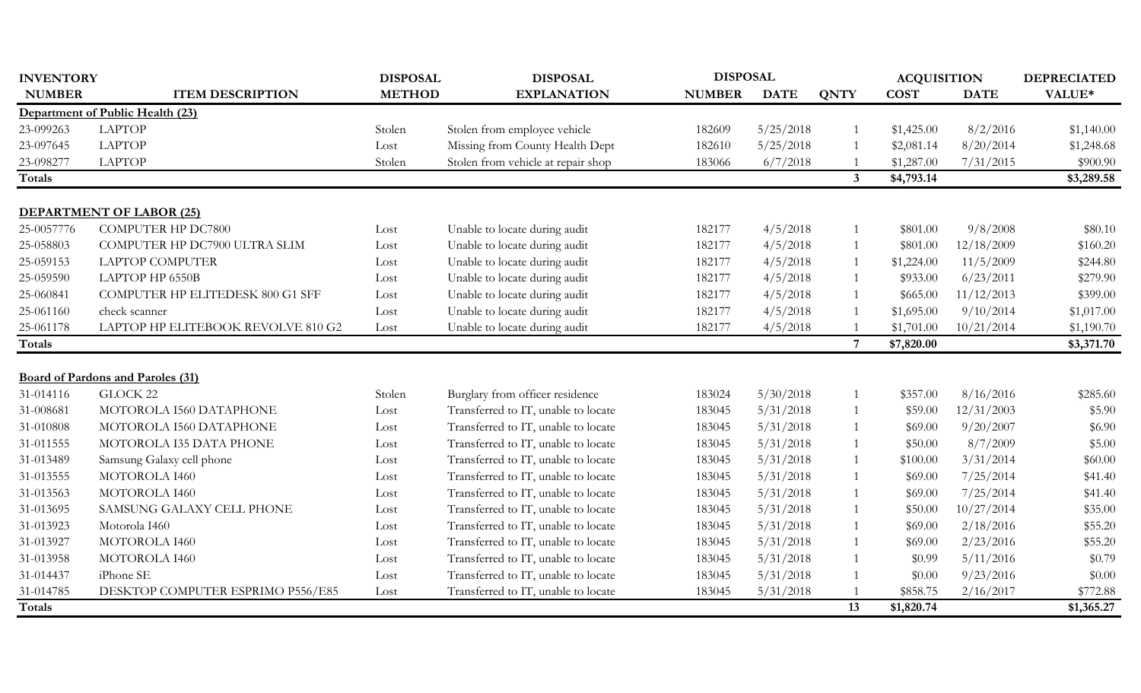| <b>INVENTORY</b> |                                          | <b>DISPOSAL</b> | <b>DISPOSAL</b>                     | <b>DISPOSAL</b> |             |                | <b>ACQUISITION</b> |             | <b>DEPRECIATED</b> |
|------------------|------------------------------------------|-----------------|-------------------------------------|-----------------|-------------|----------------|--------------------|-------------|--------------------|
| <b>NUMBER</b>    | <b>ITEM DESCRIPTION</b>                  | <b>METHOD</b>   | <b>EXPLANATION</b>                  | <b>NUMBER</b>   | <b>DATE</b> | <b>QNTY</b>    | <b>COST</b>        | <b>DATE</b> | VALUE*             |
|                  | Department of Public Health (23)         |                 |                                     |                 |             |                |                    |             |                    |
| 23-099263        | <b>LAPTOP</b>                            | Stolen          | Stolen from employee vehicle        | 182609          | 5/25/2018   |                | \$1,425.00         | 8/2/2016    | \$1,140.00         |
| 23-097645        | <b>LAPTOP</b>                            | Lost            | Missing from County Health Dept     | 182610          | 5/25/2018   |                | \$2,081.14         | 8/20/2014   | \$1,248.68         |
| 23-098277        | <b>LAPTOP</b>                            | Stolen          | Stolen from vehicle at repair shop  | 183066          | 6/7/2018    |                | \$1,287.00         | 7/31/2015   | \$900.90           |
| Totals           |                                          |                 |                                     |                 |             | $3^{\circ}$    | \$4,793.14         |             | \$3,289.58         |
|                  | <b>DEPARTMENT OF LABOR (25)</b>          |                 |                                     |                 |             |                |                    |             |                    |
| 25-0057776       | <b>COMPUTER HP DC7800</b>                | Lost            | Unable to locate during audit       | 182177          | 4/5/2018    |                | \$801.00           | 9/8/2008    | \$80.10            |
| 25-058803        | COMPUTER HP DC7900 ULTRA SLIM            | Lost            | Unable to locate during audit       | 182177          | 4/5/2018    |                | \$801.00           | 12/18/2009  | \$160.20           |
| 25-059153        | <b>LAPTOP COMPUTER</b>                   | Lost            | Unable to locate during audit       | 182177          | 4/5/2018    |                | \$1,224.00         | 11/5/2009   | \$244.80           |
| 25-059590        | LAPTOP HP 6550B                          | Lost            | Unable to locate during audit       | 182177          | 4/5/2018    |                | \$933.00           | 6/23/2011   | \$279.90           |
| 25-060841        | COMPUTER HP ELITEDESK 800 G1 SFF         | Lost            | Unable to locate during audit       | 182177          | 4/5/2018    |                | \$665.00           | 11/12/2013  | \$399.00           |
| 25-061160        | check scanner                            | Lost            | Unable to locate during audit       | 182177          | 4/5/2018    |                | \$1,695.00         | 9/10/2014   | \$1,017.00         |
| 25-061178        | LAPTOP HP ELITEBOOK REVOLVE 810 G2       | Lost            | Unable to locate during audit       | 182177          | 4/5/2018    |                | \$1,701.00         | 10/21/2014  | \$1,190.70         |
| <b>Totals</b>    |                                          |                 |                                     |                 |             | $\overline{7}$ | \$7,820.00         |             | \$3,371.70         |
|                  |                                          |                 |                                     |                 |             |                |                    |             |                    |
|                  | <b>Board of Pardons and Paroles (31)</b> |                 |                                     |                 |             |                |                    |             |                    |
| 31-014116        | GLOCK 22                                 | Stolen          | Burglary from officer residence     | 183024          | 5/30/2018   |                | \$357.00           | 8/16/2016   | \$285.60           |
| 31-008681        | MOTOROLA I560 DATAPHONE                  | Lost            | Transferred to IT, unable to locate | 183045          | 5/31/2018   |                | \$59.00            | 12/31/2003  | \$5.90             |
| 31-010808        | MOTOROLA I560 DATAPHONE                  | Lost            | Transferred to IT, unable to locate | 183045          | 5/31/2018   |                | \$69.00            | 9/20/2007   | \$6.90             |
| 31-011555        | MOTOROLA I35 DATA PHONE                  | Lost            | Transferred to IT, unable to locate | 183045          | 5/31/2018   |                | \$50.00            | 8/7/2009    | \$5.00             |
| 31-013489        | Samsung Galaxy cell phone                | Lost            | Transferred to IT, unable to locate | 183045          | 5/31/2018   |                | \$100.00           | 3/31/2014   | \$60.00            |
| 31-013555        | MOTOROLA I460                            | Lost            | Transferred to IT, unable to locate | 183045          | 5/31/2018   |                | \$69.00            | 7/25/2014   | \$41.40            |
| 31-013563        | MOTOROLA I460                            | Lost            | Transferred to IT, unable to locate | 183045          | 5/31/2018   |                | \$69.00            | 7/25/2014   | \$41.40            |
| 31-013695        | SAMSUNG GALAXY CELL PHONE                | Lost            | Transferred to IT, unable to locate | 183045          | 5/31/2018   |                | \$50.00            | 10/27/2014  | \$35.00            |
| 31-013923        | Motorola I460                            | Lost            | Transferred to IT, unable to locate | 183045          | 5/31/2018   |                | \$69.00            | 2/18/2016   | \$55.20            |
| 31-013927        | MOTOROLA I460                            | Lost            | Transferred to IT, unable to locate | 183045          | 5/31/2018   |                | \$69.00            | 2/23/2016   | \$55.20            |
| 31-013958        | MOTOROLA I460                            | Lost            | Transferred to IT, unable to locate | 183045          | 5/31/2018   |                | \$0.99             | 5/11/2016   | \$0.79             |
| 31-014437        | iPhone SE                                | Lost            | Transferred to IT, unable to locate | 183045          | 5/31/2018   |                | \$0.00             | 9/23/2016   | \$0.00             |
| 31-014785        | DESKTOP COMPUTER ESPRIMO P556/E85        | Lost            | Transferred to IT, unable to locate | 183045          | 5/31/2018   |                | \$858.75           | 2/16/2017   | \$772.88           |
| <b>Totals</b>    |                                          |                 |                                     |                 |             | 13             | \$1,820.74         |             | \$1,365.27         |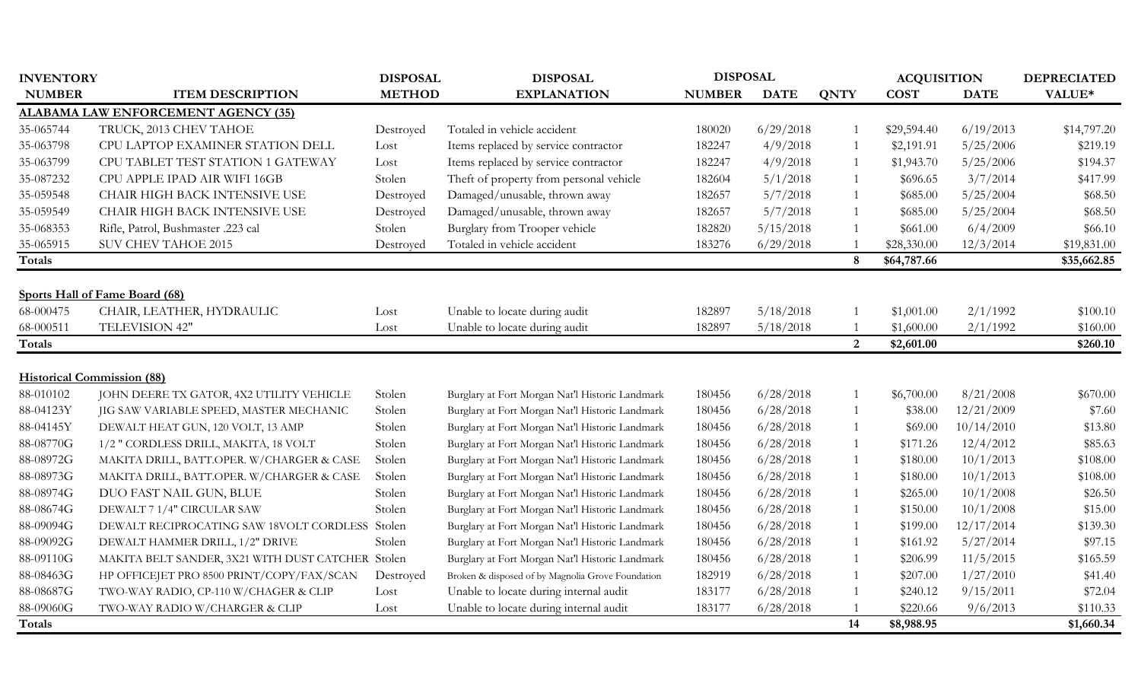| <b>INVENTORY</b> |                                                   | <b>DISPOSAL</b> | <b>DISPOSAL</b>                                   | <b>DISPOSAL</b> |             |                  | <b>ACQUISITION</b> |             | <b>DEPRECIATED</b> |
|------------------|---------------------------------------------------|-----------------|---------------------------------------------------|-----------------|-------------|------------------|--------------------|-------------|--------------------|
| <b>NUMBER</b>    | <b>ITEM DESCRIPTION</b>                           | <b>METHOD</b>   | <b>EXPLANATION</b>                                | <b>NUMBER</b>   | <b>DATE</b> | <b>QNTY</b>      | <b>COST</b>        | <b>DATE</b> | VALUE*             |
|                  | <b>ALABAMA LAW ENFORCEMENT AGENCY (35)</b>        |                 |                                                   |                 |             |                  |                    |             |                    |
| 35-065744        | TRUCK, 2013 CHEV TAHOE                            | Destroyed       | Totaled in vehicle accident                       | 180020          | 6/29/2018   | $\overline{1}$   | \$29,594.40        | 6/19/2013   | \$14,797.20        |
| 35-063798        | CPU LAPTOP EXAMINER STATION DELL                  | Lost            | Items replaced by service contractor              | 182247          | 4/9/2018    | $\overline{1}$   | \$2,191.91         | 5/25/2006   | \$219.19           |
| 35-063799        | CPU TABLET TEST STATION 1 GATEWAY                 | Lost            | Items replaced by service contractor              | 182247          | 4/9/2018    | $\overline{1}$   | \$1,943.70         | 5/25/2006   | \$194.37           |
| 35-087232        | CPU APPLE IPAD AIR WIFI 16GB                      | Stolen          | Theft of property from personal vehicle           | 182604          | 5/1/2018    | $\overline{1}$   | \$696.65           | 3/7/2014    | \$417.99           |
| 35-059548        | CHAIR HIGH BACK INTENSIVE USE                     | Destroyed       | Damaged/unusable, thrown away                     | 182657          | 5/7/2018    | $\overline{1}$   | \$685.00           | 5/25/2004   | \$68.50            |
| 35-059549        | CHAIR HIGH BACK INTENSIVE USE                     | Destroyed       | Damaged/unusable, thrown away                     | 182657          | 5/7/2018    | $\overline{1}$   | \$685.00           | 5/25/2004   | \$68.50            |
| 35-068353        | Rifle, Patrol, Bushmaster .223 cal                | Stolen          | Burglary from Trooper vehicle                     | 182820          | 5/15/2018   | $\overline{1}$   | \$661.00           | 6/4/2009    | \$66.10            |
| 35-065915        | <b>SUV CHEV TAHOE 2015</b>                        | Destroyed       | Totaled in vehicle accident                       | 183276          | 6/29/2018   |                  | \$28,330.00        | 12/3/2014   | \$19,831.00        |
| Totals           |                                                   |                 |                                                   |                 |             | $\boldsymbol{8}$ | \$64,787.66        |             | \$35,662.85        |
|                  |                                                   |                 |                                                   |                 |             |                  |                    |             |                    |
|                  | Sports Hall of Fame Board (68)                    |                 |                                                   |                 |             |                  |                    |             |                    |
| 68-000475        | CHAIR, LEATHER, HYDRAULIC                         | Lost            | Unable to locate during audit                     | 182897          | 5/18/2018   |                  | \$1,001.00         | 2/1/1992    | \$100.10           |
| 68-000511        | TELEVISION 42"                                    | Lost            | Unable to locate during audit                     | 182897          | 5/18/2018   | $\overline{1}$   | \$1,600.00         | 2/1/1992    | \$160.00           |
| <b>Totals</b>    |                                                   |                 |                                                   |                 |             | 2                | \$2,601.00         |             | \$260.10           |
|                  |                                                   |                 |                                                   |                 |             |                  |                    |             |                    |
|                  | <b>Historical Commission (88)</b>                 |                 |                                                   |                 |             |                  |                    |             |                    |
| 88-010102        | JOHN DEERE TX GATOR, 4X2 UTILITY VEHICLE          | Stolen          | Burglary at Fort Morgan Nat'l Historic Landmark   | 180456          | 6/28/2018   | $\overline{1}$   | \$6,700.00         | 8/21/2008   | \$670.00           |
| 88-04123Y        | JIG SAW VARIABLE SPEED, MASTER MECHANIC           | Stolen          | Burglary at Fort Morgan Nat'l Historic Landmark   | 180456          | 6/28/2018   | -1               | \$38.00            | 12/21/2009  | \$7.60             |
| 88-04145Y        | DEWALT HEAT GUN, 120 VOLT, 13 AMP                 | Stolen          | Burglary at Fort Morgan Nat'l Historic Landmark   | 180456          | 6/28/2018   | $\overline{1}$   | \$69.00            | 10/14/2010  | \$13.80            |
| 88-08770G        | 1/2 " CORDLESS DRILL, MAKITA, 18 VOLT             | Stolen          | Burglary at Fort Morgan Nat'l Historic Landmark   | 180456          | 6/28/2018   | $\overline{1}$   | \$171.26           | 12/4/2012   | \$85.63            |
| 88-08972G        | MAKITA DRILL, BATT.OPER. W/CHARGER & CASE         | Stolen          | Burglary at Fort Morgan Nat'l Historic Landmark   | 180456          | 6/28/2018   | $\overline{1}$   | \$180.00           | 10/1/2013   | \$108.00           |
| 88-08973G        | MAKITA DRILL, BATT.OPER. W/CHARGER & CASE         | Stolen          | Burglary at Fort Morgan Nat'l Historic Landmark   | 180456          | 6/28/2018   | $\overline{1}$   | \$180.00           | 10/1/2013   | \$108.00           |
| 88-08974G        | DUO FAST NAIL GUN, BLUE                           | Stolen          | Burglary at Fort Morgan Nat'l Historic Landmark   | 180456          | 6/28/2018   | $\overline{1}$   | \$265.00           | 10/1/2008   | \$26.50            |
| 88-08674G        | DEWALT 7 1/4" CIRCULAR SAW                        | Stolen          | Burglary at Fort Morgan Nat'l Historic Landmark   | 180456          | 6/28/2018   | $\overline{1}$   | \$150.00           | 10/1/2008   | \$15.00            |
| 88-09094G        | DEWALT RECIPROCATING SAW 18VOLT CORDLESS Stolen   |                 | Burglary at Fort Morgan Nat'l Historic Landmark   | 180456          | 6/28/2018   | $\mathbf{1}$     | \$199.00           | 12/17/2014  | \$139.30           |
| 88-09092G        | DEWALT HAMMER DRILL, 1/2" DRIVE                   | Stolen          | Burglary at Fort Morgan Nat'l Historic Landmark   | 180456          | 6/28/2018   | $\mathbf{1}$     | \$161.92           | 5/27/2014   | \$97.15            |
| 88-09110G        | MAKITA BELT SANDER, 3X21 WITH DUST CATCHER Stolen |                 | Burglary at Fort Morgan Nat'l Historic Landmark   | 180456          | 6/28/2018   | -1               | \$206.99           | 11/5/2015   | \$165.59           |
| 88-08463G        | HP OFFICEJET PRO 8500 PRINT/COPY/FAX/SCAN         | Destroyed       | Broken & disposed of by Magnolia Grove Foundation | 182919          | 6/28/2018   | $\overline{1}$   | \$207.00           | 1/27/2010   | \$41.40            |
| 88-08687G        | TWO-WAY RADIO, CP-110 W/CHAGER & CLIP             | Lost            | Unable to locate during internal audit            | 183177          | 6/28/2018   | $\overline{1}$   | \$240.12           | 9/15/2011   | \$72.04            |
| 88-09060G        | TWO-WAY RADIO W/CHARGER & CLIP                    | Lost            | Unable to locate during internal audit            | 183177          | 6/28/2018   |                  | \$220.66           | 9/6/2013    | \$110.33           |
| <b>Totals</b>    |                                                   |                 |                                                   |                 |             | 14               | \$8,988.95         |             | \$1,660.34         |